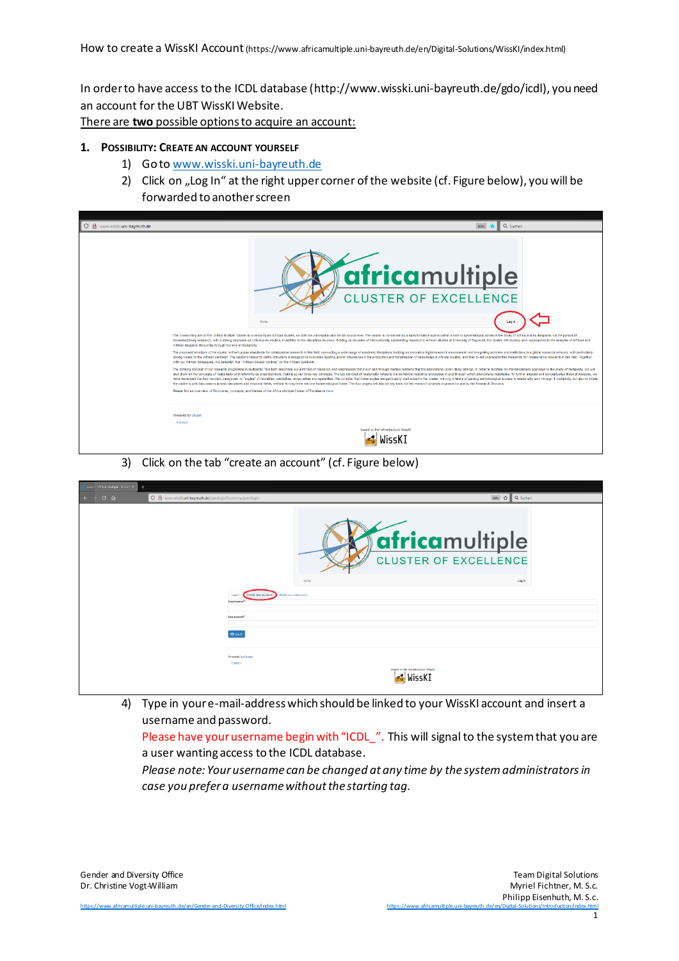In order to have access to the ICDL database (http://www.wisski.uni-bayreuth.de/gdo/icdl), you need an account for the UBT WissKI Website.

There are **two** possible options to acquire an account:

## **1. POSSIBILITY: CREATE AN ACCOUNT YOURSELF**

- 1) Go to [www.wisski.uni-bayreuth.de](http://www.wisski.uni-bayreuth.de/)
- 2) Click on "Log In" at the right upper corner of the website (cf. Figure below), you will be forwarded to another screen



3) Click on the tab "create an account" (cf. Figure below)

| ı<br>Log in   Africa Multiple - Cluster X +                   |                                                                              |                                                        |
|---------------------------------------------------------------|------------------------------------------------------------------------------|--------------------------------------------------------|
| ○ & www.wisski.uni-bayreuth.de/user/login?current=/user/login |                                                                              | 80% ☆ Q Suchen                                         |
|                                                               |                                                                              | <b>fafricamultiple</b><br><b>CLUSTER OF EXCELLENCE</b> |
|                                                               | Home                                                                         | Log in                                                 |
|                                                               | Reset your password<br>Log in<br>Create new account<br>Username <sup>1</sup> |                                                        |
|                                                               | Password*                                                                    |                                                        |
|                                                               | O Log in                                                                     |                                                        |
|                                                               | Powered by Drugal<br>Contact<br>based on the infrastructure WissKI<br>WissK] |                                                        |

4) Type in your e-mail-address which should be linked to your WissKI account and insert a username and password.

Please have your username begin with "ICDL\_". This will signal to the system that you are a user wanting access to the ICDL database.

*Please note: Your username can be changed at any time by the system administratorsin case you prefer a username without the starting tag.*